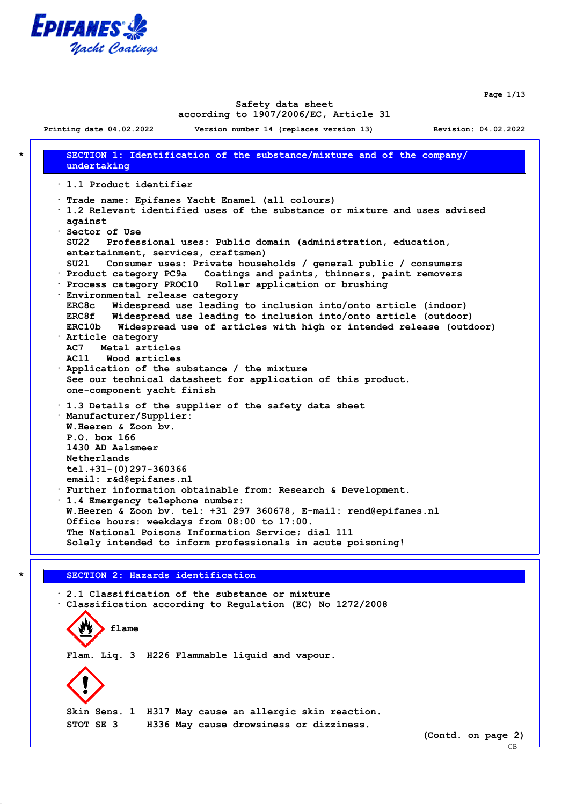

**Page 1/13**

 $-$  GB.

#### **Safety data sheet according to 1907/2006/EC, Article 31**

**Printing date 04.02.2022 Version number 14 (replaces version 13) Revision: 04.02.2022 \* SECTION 1: Identification of the substance/mixture and of the company/ undertaking · 1.1 Product identifier · Trade name: Epifanes Yacht Enamel (all colours) · 1.2 Relevant identified uses of the substance or mixture and uses advised against · Sector of Use SU22 Professional uses: Public domain (administration, education, entertainment, services, craftsmen) SU21 Consumer uses: Private households / general public / consumers · Product category PC9a Coatings and paints, thinners, paint removers · Process category PROC10 Roller application or brushing · Environmental release category ERC8c Widespread use leading to inclusion into/onto article (indoor) ERC8f Widespread use leading to inclusion into/onto article (outdoor) ERC10b Widespread use of articles with high or intended release (outdoor) · Article category AC7 Metal articles AC11 Wood articles · Application of the substance / the mixture See our technical datasheet for application of this product. one-component yacht finish · 1.3 Details of the supplier of the safety data sheet · Manufacturer/Supplier: W.Heeren & Zoon bv. P.O. box 166 1430 AD Aalsmeer Netherlands tel.+31-(0)297-360366 email: r&d@epifanes.nl · Further information obtainable from: Research & Development. · 1.4 Emergency telephone number: W.Heeren & Zoon bv. tel: +31 297 360678, E-mail: rend@epifanes.nl Office hours: weekdays from 08:00 to 17:00. The National Poisons Information Service; dial 111 Solely intended to inform professionals in acute poisoning! \* SECTION 2: Hazards identification**

**· 2.1 Classification of the substance or mixture · Classification according to Regulation (EC) No 1272/2008 flame Flam. Liq. 3 H226 Flammable liquid and vapour. Skin Sens. 1 H317 May cause an allergic skin reaction. STOT SE 3 H336 May cause drowsiness or dizziness. (Contd. on page 2)**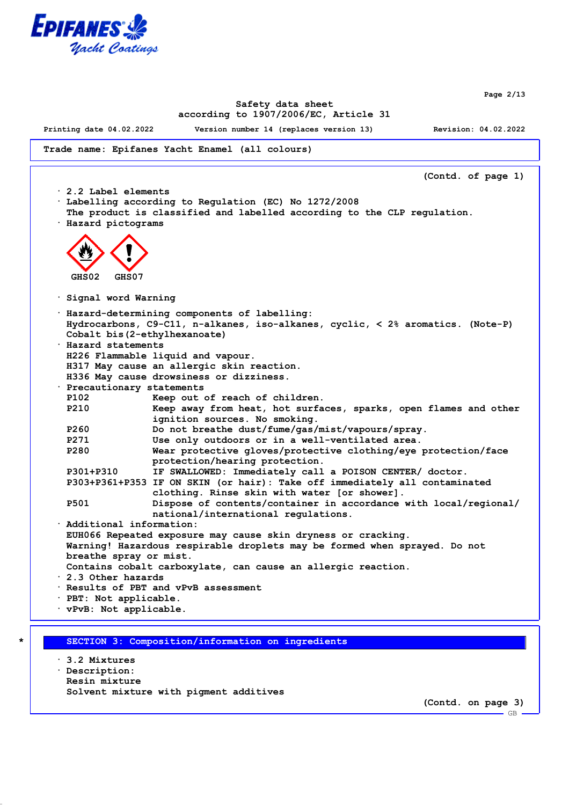

**Page 2/13**

### **Safety data sheet according to 1907/2006/EC, Article 31**

**Printing date 04.02.2022 Version number 14 (replaces version 13) Revision: 04.02.2022**

**Trade name: Epifanes Yacht Enamel (all colours)**

**(Contd. of page 1) · 2.2 Label elements · Labelling according to Regulation (EC) No 1272/2008 The product is classified and labelled according to the CLP regulation. · Hazard pictograms GHS02 GHS07 · Signal word Warning · Hazard-determining components of labelling: Hydrocarbons, C9-C11, n-alkanes, iso-alkanes, cyclic, < 2% aromatics. (Note-P) Cobalt bis(2-ethylhexanoate) · Hazard statements H226 Flammable liquid and vapour. H317 May cause an allergic skin reaction. H336 May cause drowsiness or dizziness. · Precautionary statements P102 Keep out of reach of children. P210 Keep away from heat, hot surfaces, sparks, open flames and other ignition sources. No smoking. P260 Do not breathe dust/fume/gas/mist/vapours/spray. P271 Use only outdoors or in a well-ventilated area. P280 Wear protective gloves/protective clothing/eye protection/face protection/hearing protection. P301+P310 IF SWALLOWED: Immediately call a POISON CENTER/ doctor. P303+P361+P353 IF ON SKIN (or hair): Take off immediately all contaminated clothing. Rinse skin with water [or shower]. P501 Dispose of contents/container in accordance with local/regional/ national/international regulations. · Additional information: EUH066 Repeated exposure may cause skin dryness or cracking. Warning! Hazardous respirable droplets may be formed when sprayed. Do not breathe spray or mist. Contains cobalt carboxylate, can cause an allergic reaction. · 2.3 Other hazards · Results of PBT and vPvB assessment · PBT: Not applicable. · vPvB: Not applicable.**

**\* SECTION 3: Composition/information on ingredients**

**· 3.2 Mixtures · Description: Resin mixture Solvent mixture with pigment additives**

**(Contd. on page 3)**

GB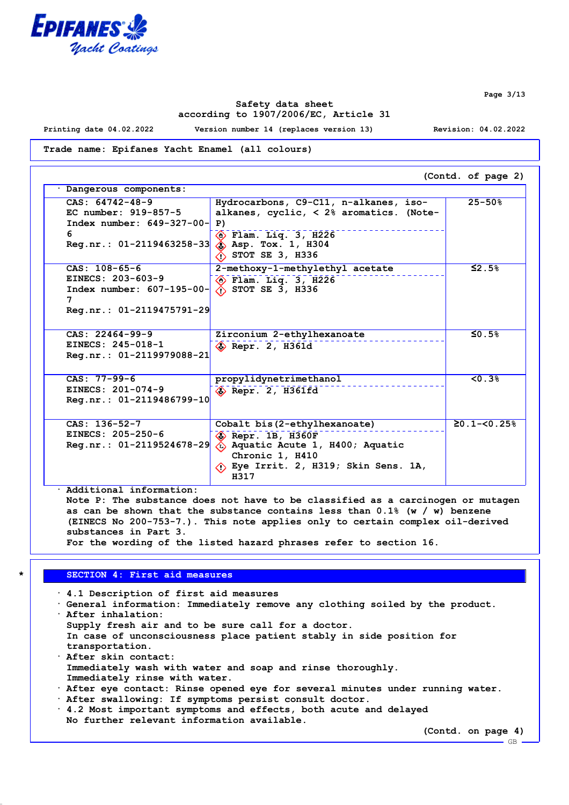

**Page 3/13**

### **Safety data sheet according to 1907/2006/EC, Article 31**

**Printing date 04.02.2022 Version number 14 (replaces version 13) Revision: 04.02.2022**

**Trade name: Epifanes Yacht Enamel (all colours)**

**(Contd. of page 2) · Dangerous components: CAS: 64742-48-9 EC number: 919-857-5 Index number: 649-327-00- 6 Reg.nr.: 01-2119463258-33 Hydrocarbons, C9-C11, n-alkanes, isoalkanes, cyclic, < 2% aromatics. (Note-P) Flam. Liq. 3, H226 Asp. Tox. 1, H304 STOT SE 3, H336 25-50% CAS: 108-65-6 EINECS: 203-603-9 Index number: 607-195-00- 7 Reg.nr.: 01-2119475791-29 2-methoxy-1-methylethyl acetate Flam. Liq. 3, H226 STOT SE 3, H336 ≤2.5% CAS: 22464-99-9 EINECS: 245-018-1 Reg.nr.: 01-2119979088-21 Zirconium 2-ethylhexanoate Repr. 2, H361d ≤0.5% CAS: 77-99-6 EINECS: 201-074-9 Reg.nr.: 01-2119486799-10 propylidynetrimethanol Repr. 2, H361fd <0.3% CAS: 136-52-7 EINECS: 205-250-6 Reg.nr.: 01-2119524678-29 Cobalt bis(2-ethylhexanoate) Repr. 1B, H360F Aquatic Acute 1, H400; Aquatic Chronic 1, H410 Eye Irrit. 2, H319; Skin Sens. 1A, H317 ≥0.1-<0.25%**

**· Additional information: Note P: The substance does not have to be classified as a carcinogen or mutagen as can be shown that the substance contains less than 0.1% (w / w) benzene (EINECS No 200-753-7.). This note applies only to certain complex oil-derived substances in Part 3. For the wording of the listed hazard phrases refer to section 16.**

# **\* SECTION 4: First aid measures**

**· 4.1 Description of first aid measures · General information: Immediately remove any clothing soiled by the product. · After inhalation: Supply fresh air and to be sure call for a doctor. In case of unconsciousness place patient stably in side position for transportation. · After skin contact: Immediately wash with water and soap and rinse thoroughly. Immediately rinse with water. · After eye contact: Rinse opened eye for several minutes under running water. · After swallowing: If symptoms persist consult doctor.**

**· 4.2 Most important symptoms and effects, both acute and delayed No further relevant information available.**

**(Contd. on page 4)**

GB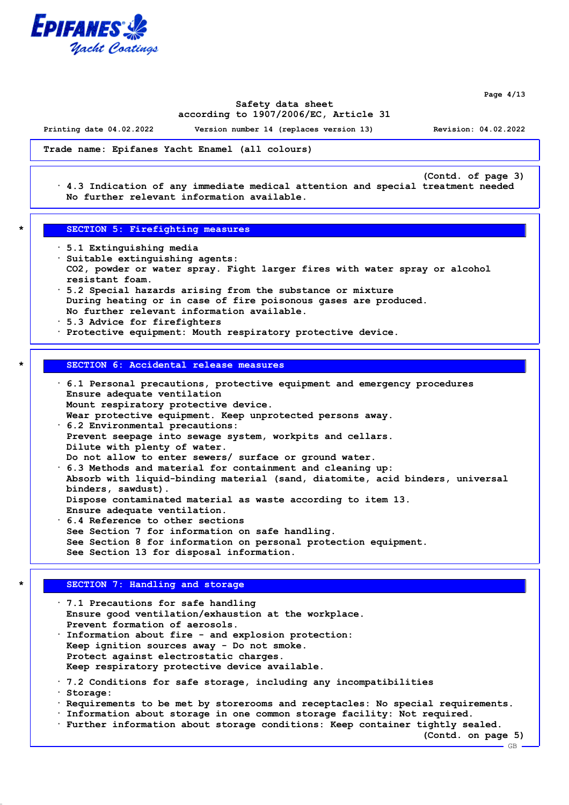

**Page 4/13**

GB

### **Safety data sheet according to 1907/2006/EC, Article 31**

**Printing date 04.02.2022 Version number 14 (replaces version 13) Revision: 04.02.2022**

**(Contd. of page 3)**

**Trade name: Epifanes Yacht Enamel (all colours)**

**· 4.3 Indication of any immediate medical attention and special treatment needed No further relevant information available.**

#### **\* SECTION 5: Firefighting measures**

- **· 5.1 Extinguishing media**
- **· Suitable extinguishing agents: CO2, powder or water spray. Fight larger fires with water spray or alcohol resistant foam.**
- **· 5.2 Special hazards arising from the substance or mixture During heating or in case of fire poisonous gases are produced. No further relevant information available.**
- **· 5.3 Advice for firefighters**
- **· Protective equipment: Mouth respiratory protective device.**

# **\* SECTION 6: Accidental release measures**

**· 6.1 Personal precautions, protective equipment and emergency procedures Ensure adequate ventilation Mount respiratory protective device. Wear protective equipment. Keep unprotected persons away. · 6.2 Environmental precautions: Prevent seepage into sewage system, workpits and cellars. Dilute with plenty of water. Do not allow to enter sewers/ surface or ground water. · 6.3 Methods and material for containment and cleaning up: Absorb with liquid-binding material (sand, diatomite, acid binders, universal binders, sawdust). Dispose contaminated material as waste according to item 13. Ensure adequate ventilation. · 6.4 Reference to other sections See Section 7 for information on safe handling. See Section 8 for information on personal protection equipment. See Section 13 for disposal information.**

## **\* SECTION 7: Handling and storage**

**· 7.1 Precautions for safe handling Ensure good ventilation/exhaustion at the workplace. Prevent formation of aerosols. · Information about fire - and explosion protection: Keep ignition sources away - Do not smoke. Protect against electrostatic charges. Keep respiratory protective device available. · 7.2 Conditions for safe storage, including any incompatibilities · Storage: · Requirements to be met by storerooms and receptacles: No special requirements. · Information about storage in one common storage facility: Not required. · Further information about storage conditions: Keep container tightly sealed. (Contd. on page 5)**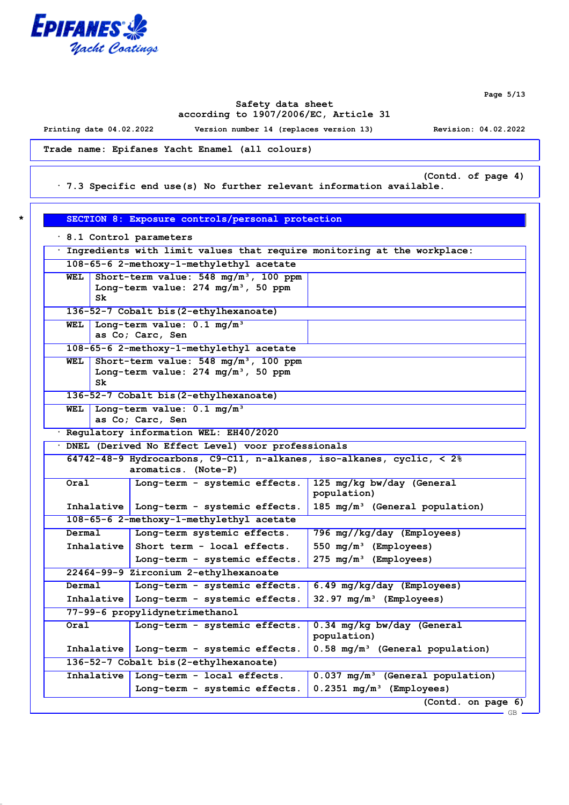

**Page 5/13**

## **Safety data sheet according to 1907/2006/EC, Article 31**

**Printing date 04.02.2022 Version number 14 (replaces version 13) Revision: 04.02.2022**

**Trade name: Epifanes Yacht Enamel (all colours)**

**(Contd. of page 4)**

**· 7.3 Specific end use(s) No further relevant information available.**

| 8.1 Control parameters<br>. Ingredients with limit values that require monitoring at the workplace: |            |                                                                                      |                                                                                                                                         |
|-----------------------------------------------------------------------------------------------------|------------|--------------------------------------------------------------------------------------|-----------------------------------------------------------------------------------------------------------------------------------------|
| 108-65-6 2-methoxy-1-methylethyl acetate                                                            |            |                                                                                      |                                                                                                                                         |
| WEL                                                                                                 |            | Short-term value: $548 \text{ mg/m}^3$ , 100 ppm                                     |                                                                                                                                         |
|                                                                                                     |            | Long-term value: $274 \text{ mg/m}^3$ , 50 ppm                                       |                                                                                                                                         |
|                                                                                                     | Sk         |                                                                                      |                                                                                                                                         |
|                                                                                                     |            | 136-52-7 Cobalt bis (2-ethylhexanoate)                                               |                                                                                                                                         |
| WEL                                                                                                 |            | Long-term value: $0.1 \text{ mg/m}^3$                                                |                                                                                                                                         |
|                                                                                                     |            | as Co; Carc, Sen                                                                     |                                                                                                                                         |
|                                                                                                     |            | 108-65-6 2-methoxy-1-methylethyl acetate                                             |                                                                                                                                         |
| WEL                                                                                                 |            | Short-term value: $548 \text{ mg/m}^3$ , 100 ppm                                     |                                                                                                                                         |
|                                                                                                     | Sk.        | Long-term value: $274 \text{ mg/m}^3$ , 50 ppm                                       |                                                                                                                                         |
|                                                                                                     |            | 136-52-7 Cobalt bis (2-ethylhexanoate)                                               |                                                                                                                                         |
| WEL                                                                                                 |            | Long-term value: 0.1 mg/m <sup>3</sup>                                               |                                                                                                                                         |
|                                                                                                     |            | as Co; Carc, Sen                                                                     |                                                                                                                                         |
|                                                                                                     |            | · Regulatory information WEL: EH40/2020                                              |                                                                                                                                         |
|                                                                                                     |            | · DNEL (Derived No Effect Level) voor professionals                                  |                                                                                                                                         |
|                                                                                                     |            | 64742-48-9 Hydrocarbons, C9-C11, n-alkanes, iso-alkanes, cyclic, $\langle 2 \rangle$ |                                                                                                                                         |
|                                                                                                     |            | aromatics. (Note-P)                                                                  |                                                                                                                                         |
| Oral                                                                                                |            | Long-term - systemic effects.                                                        | 125 mg/kg bw/day (General                                                                                                               |
|                                                                                                     |            |                                                                                      | population)                                                                                                                             |
|                                                                                                     |            | Inhalative   Long-term - systemic effects.                                           | 185 $mg/m^3$ (General population)                                                                                                       |
|                                                                                                     |            | 108-65-6 2-methoxy-1-methylethyl acetate                                             |                                                                                                                                         |
|                                                                                                     |            | Long-term systemic effects.                                                          | 796 mg//kg/day (Employees)                                                                                                              |
| Dermal                                                                                              |            |                                                                                      |                                                                                                                                         |
|                                                                                                     |            | Inhalative Short term - local effects.                                               | 550 $mg/m^3$ (Employees)                                                                                                                |
|                                                                                                     |            | Long-term - systemic effects.                                                        | 275 mg/m <sup>3</sup> (Employees)                                                                                                       |
|                                                                                                     |            | 22464-99-9 Zirconium 2-ethylhexanoate                                                |                                                                                                                                         |
| Dermal                                                                                              |            | Long-term - systemic effects.                                                        | 6.49 mg/kg/day (Employees)                                                                                                              |
|                                                                                                     |            | Inhalative   Long-term - systemic effects.                                           | $32.97 \text{ mg/m}^3$ (Employees)                                                                                                      |
|                                                                                                     |            | 77-99-6 propylidynetrimethanol                                                       |                                                                                                                                         |
| Oral                                                                                                |            | Long-term - systemic effects.                                                        | 0.34 mg/kg bw/day (General                                                                                                              |
|                                                                                                     |            |                                                                                      | population)                                                                                                                             |
|                                                                                                     | Inhalative | Long-term - systemic effects.                                                        |                                                                                                                                         |
|                                                                                                     |            | 136-52-7 Cobalt bis (2-ethylhexanoate)                                               |                                                                                                                                         |
|                                                                                                     | Inhalative | Long-term - local effects.                                                           | 0.58 mg/m <sup>3</sup> (General population)<br>$0.037$ mg/m <sup>3</sup> (General population)<br>$0.2351$ mg/m <sup>3</sup> (Employees) |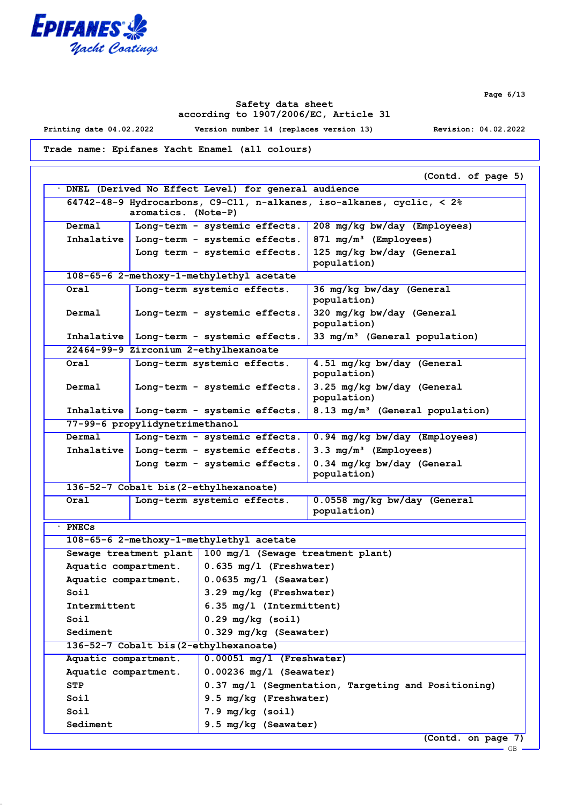

**Page 6/13**

GB

## **Safety data sheet according to 1907/2006/EC, Article 31**

**Printing date 04.02.2022 Version number 14 (replaces version 13) Revision: 04.02.2022**

**Trade name: Epifanes Yacht Enamel (all colours)**

|                      |                                                                                      |                                                     | (Contd. of page 5)                          |  |  |
|----------------------|--------------------------------------------------------------------------------------|-----------------------------------------------------|---------------------------------------------|--|--|
|                      | DNEL (Derived No Effect Level) for general audience                                  |                                                     |                                             |  |  |
|                      | 64742-48-9 Hydrocarbons, C9-C11, n-alkanes, iso-alkanes, cyclic, $\langle 2 \rangle$ |                                                     |                                             |  |  |
|                      | aromatics. (Note-P)                                                                  |                                                     |                                             |  |  |
| Dermal               |                                                                                      | Long-term - systemic effects.                       | 208 mg/kg bw/day (Employees)                |  |  |
| Inhalative           |                                                                                      | Long-term - systemic effects.                       | 871 mg/m <sup>3</sup> (Employees)           |  |  |
|                      |                                                                                      | Long term - systemic effects.                       | 125 mg/kg bw/day (General                   |  |  |
|                      |                                                                                      |                                                     | population)                                 |  |  |
|                      |                                                                                      | 108-65-6 2-methoxy-1-methylethyl acetate            |                                             |  |  |
| Oral                 |                                                                                      | Long-term systemic effects.                         | 36 mg/kg bw/day (General<br>population)     |  |  |
| Dermal               |                                                                                      | Long-term - systemic effects.                       | 320 mg/kg bw/day (General<br>population)    |  |  |
|                      |                                                                                      | Inhalative   Long-term - systemic effects.          | 33 $mg/m^3$ (General population)            |  |  |
|                      |                                                                                      | 22464-99-9 Zirconium 2-ethylhexanoate               |                                             |  |  |
| Oral                 |                                                                                      | Long-term systemic effects.                         | 4.51 mg/kg bw/day (General<br>population)   |  |  |
| Dermal               |                                                                                      | Long-term - systemic effects.                       | 3.25 mg/kg bw/day (General<br>population)   |  |  |
| Inhalative           |                                                                                      | Long-term - systemic effects.                       | 8.13 mg/m <sup>3</sup> (General population) |  |  |
|                      | 77-99-6 propylidynetrimethanol                                                       |                                                     |                                             |  |  |
| Dermal               |                                                                                      | Long-term - systemic effects.                       | 0.94 mg/kg bw/day (Employees)               |  |  |
| Inhalative           |                                                                                      | Long-term - systemic effects.                       | $3.3 \text{ mg/m}^3$ (Employees)            |  |  |
|                      |                                                                                      | Long term - systemic effects.                       | 0.34 mg/kg bw/day (General<br>population)   |  |  |
|                      |                                                                                      | 136-52-7 Cobalt bis (2-ethylhexanoate)              |                                             |  |  |
| Oral                 |                                                                                      | Long-term systemic effects.                         | 0.0558 mg/kg bw/day (General                |  |  |
|                      |                                                                                      |                                                     | population)                                 |  |  |
| · PNECs              |                                                                                      |                                                     |                                             |  |  |
|                      |                                                                                      | 108-65-6 2-methoxy-1-methylethyl acetate            |                                             |  |  |
|                      | Sewage treatment plant                                                               | 100 mg/l (Sewage treatment plant)                   |                                             |  |  |
| Aquatic compartment. |                                                                                      | $0.635$ mg/l (Freshwater)                           |                                             |  |  |
| Aquatic compartment. |                                                                                      | $0.0635$ mg/l (Seawater)                            |                                             |  |  |
| Soil                 |                                                                                      | 3.29 mg/kg (Freshwater)                             |                                             |  |  |
| Intermittent         |                                                                                      | 6.35 mg/l (Intermittent)                            |                                             |  |  |
| Soil                 |                                                                                      | $0.29$ mg/kg (soil)                                 |                                             |  |  |
| Sediment             |                                                                                      | 0.329 mg/kg (Seawater)                              |                                             |  |  |
|                      |                                                                                      | 136-52-7 Cobalt bis (2-ethylhexanoate)              |                                             |  |  |
| Aquatic compartment. |                                                                                      | $0.00051$ mg/l (Freshwater)                         |                                             |  |  |
| Aquatic compartment. |                                                                                      | $0.00236$ mg/l (Seawater)                           |                                             |  |  |
| <b>STP</b>           |                                                                                      | 0.37 mg/l (Segmentation, Targeting and Positioning) |                                             |  |  |
| Soil                 |                                                                                      | 9.5 mg/kg (Freshwater)                              |                                             |  |  |
| Soil                 |                                                                                      | $7.9$ mg/kg (soil)                                  |                                             |  |  |
| Sediment             |                                                                                      | 9.5 mg/kg (Seawater)                                |                                             |  |  |
|                      | (Contd. on page 7)                                                                   |                                                     |                                             |  |  |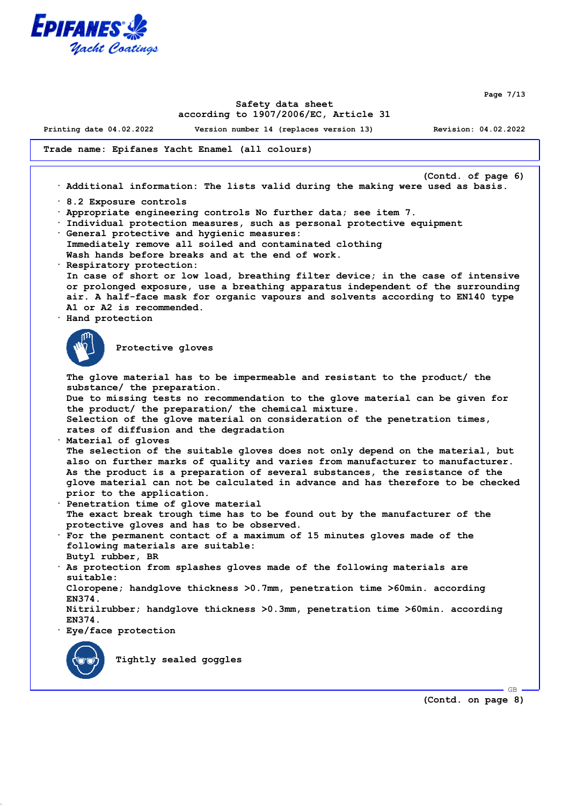

**Page 7/13**

### **Safety data sheet according to 1907/2006/EC, Article 31**

**Printing date 04.02.2022 Version number 14 (replaces version 13) Revision: 04.02.2022**

**Trade name: Epifanes Yacht Enamel (all colours)**

**(Contd. of page 6) · Additional information: The lists valid during the making were used as basis. · 8.2 Exposure controls · Appropriate engineering controls No further data; see item 7. · Individual protection measures, such as personal protective equipment · General protective and hygienic measures: Immediately remove all soiled and contaminated clothing Wash hands before breaks and at the end of work. · Respiratory protection: In case of short or low load, breathing filter device; in the case of intensive or prolonged exposure, use a breathing apparatus independent of the surrounding air. A half-face mask for organic vapours and solvents according to EN140 type A1 or A2 is recommended. · Hand protection Protective gloves The glove material has to be impermeable and resistant to the product/ the substance/ the preparation. Due to missing tests no recommendation to the glove material can be given for the product/ the preparation/ the chemical mixture. Selection of the glove material on consideration of the penetration times, rates of diffusion and the degradation · Material of gloves The selection of the suitable gloves does not only depend on the material, but also on further marks of quality and varies from manufacturer to manufacturer. As the product is a preparation of several substances, the resistance of the glove material can not be calculated in advance and has therefore to be checked prior to the application. · Penetration time of glove material The exact break trough time has to be found out by the manufacturer of the protective gloves and has to be observed. · For the permanent contact of a maximum of 15 minutes gloves made of the following materials are suitable: Butyl rubber, BR · As protection from splashes gloves made of the following materials are suitable: Cloropene; handglove thickness >0.7mm, penetration time >60min. according EN374. Nitrilrubber; handglove thickness >0.3mm, penetration time >60min. according EN374. · Eye/face protection Tightly sealed goggles**

**(Contd. on page 8)**

GB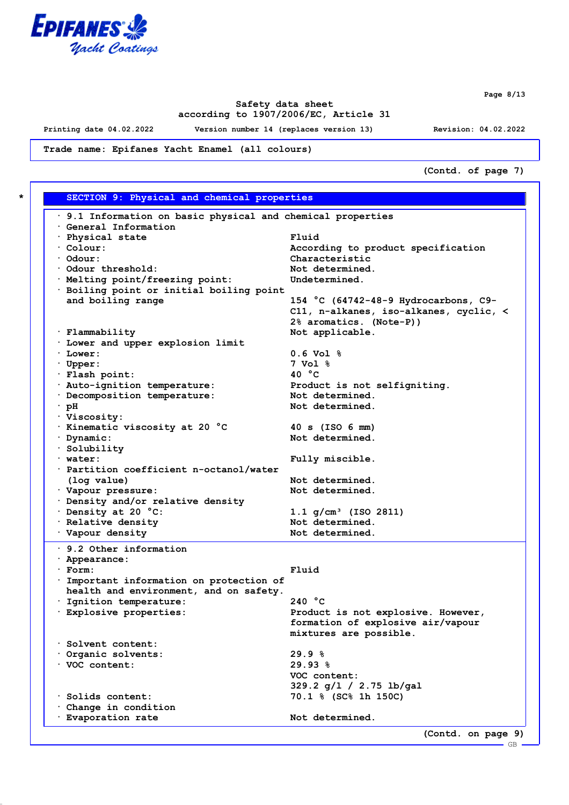

**Page 8/13**

## **Safety data sheet according to 1907/2006/EC, Article 31**

**Printing date 04.02.2022 Version number 14 (replaces version 13) Revision: 04.02.2022**

**Trade name: Epifanes Yacht Enamel (all colours)**

**(Contd. of page 7)**

| $\cdot$ 9.1 Information on basic physical and chemical properties<br>General Information |                                        |
|------------------------------------------------------------------------------------------|----------------------------------------|
| · Physical state                                                                         | Fluid                                  |
| $\cdot$ Colour:                                                                          | According to product specification     |
| $\cdot$ Odour:                                                                           | Characteristic                         |
| Odour threshold:                                                                         | Not determined.                        |
| · Melting point/freezing point:                                                          | Undetermined.                          |
|                                                                                          |                                        |
| · Boiling point or initial boiling point<br>and boiling range                            | 154 °C (64742-48-9 Hydrocarbons, C9-   |
|                                                                                          | C11, n-alkanes, iso-alkanes, cyclic, < |
|                                                                                          | 2% aromatics. (Note-P))                |
| · Flammability                                                                           |                                        |
|                                                                                          | Not applicable.                        |
| . Lower and upper explosion limit                                                        |                                        |
| $\cdot$ Lower:                                                                           | $0.6 \text{ Vol }$ %                   |
| · Upper:                                                                                 | 7 Vol %<br>40 $^{\circ}$ C             |
| · Flash point:                                                                           |                                        |
| · Auto-ignition temperature:                                                             | Product is not selfigniting.           |
| · Decomposition temperature:                                                             | Not determined.                        |
| $\cdot$ pH                                                                               | Not determined.                        |
| · Viscosity:                                                                             |                                        |
| · Kinematic viscosity at 20 °C                                                           | 40 s (ISO 6 mm)                        |
| · Dynamic:                                                                               | Not determined.                        |
| · Solubility                                                                             |                                        |
| $\cdot$ water:                                                                           | Fully miscible.                        |
| · Partition coefficient n-octanol/water                                                  |                                        |
| (log value)                                                                              | Not determined.                        |
| · Vapour pressure:                                                                       | Not determined.                        |
| · Density and/or relative density                                                        |                                        |
| Density at 20 °C:                                                                        | $1.1$ g/cm <sup>3</sup> (ISO 2811)     |
| · Relative density                                                                       | Not determined.                        |
| · Vapour density                                                                         | Not determined.                        |
| $\cdot$ 9.2 Other information                                                            |                                        |
| · Appearance:                                                                            |                                        |
| · Form:                                                                                  | Fluid                                  |
| Important information on protection of                                                   |                                        |
| health and environment, and on safety.                                                   |                                        |
| · Ignition temperature:                                                                  | 240 °C                                 |
| · Explosive properties:                                                                  | Product is not explosive. However,     |
|                                                                                          | formation of explosive air/vapour      |
|                                                                                          | mixtures are possible.                 |
| Solvent content:                                                                         |                                        |
| Organic solvents:                                                                        | 29.9%                                  |
| · VOC content:                                                                           | 29.93%                                 |
|                                                                                          | VOC content:                           |
|                                                                                          | 329.2 g/l / 2.75 lb/gal                |
| · Solids content:                                                                        | 70.1 % (SC% 1h 150C)                   |
| Change in condition                                                                      |                                        |
| · Evaporation rate                                                                       | Not determined.                        |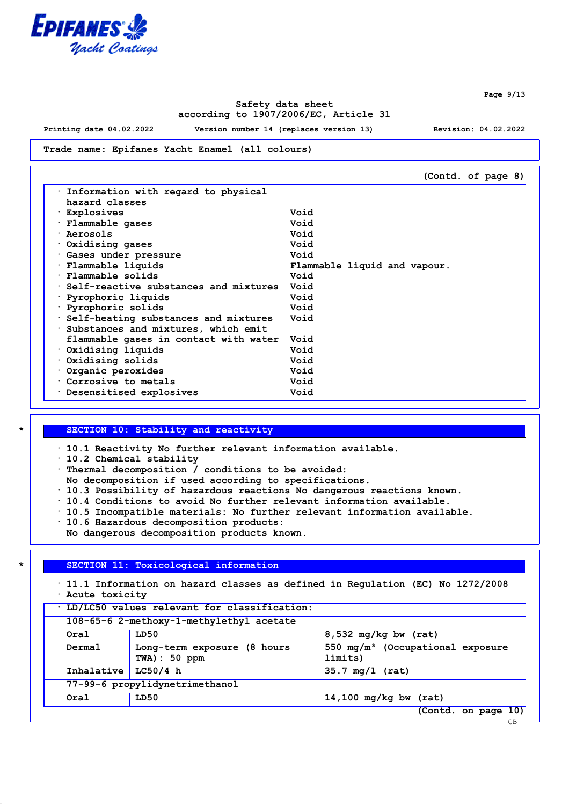

**Safety data sheet according to 1907/2006/EC, Article 31**

**Printing date 04.02.2022 Version number 14 (replaces version 13) Revision: 04.02.2022**

**Page 9/13**

#### **Trade name: Epifanes Yacht Enamel (all colours)**

|                                       | (Contd. of page 8)           |
|---------------------------------------|------------------------------|
| Information with regard to physical   |                              |
| hazard classes                        |                              |
| · Explosives                          | Void                         |
| · Flammable gases                     | Void                         |
| · Aerosols                            | Void                         |
| $\cdot$ Oxidising gases               | Void                         |
| · Gases under pressure                | Void                         |
| · Flammable liquids                   | Flammable liquid and vapour. |
| · Flammable solids                    | Void                         |
| Self-reactive substances and mixtures | Void                         |
| · Pyrophoric liquids                  | Void                         |
| · Pyrophoric solids                   | Void                         |
| Self-heating substances and mixtures  | Void                         |
| Substances and mixtures, which emit   |                              |
| flammable gases in contact with water | Void                         |
| $\cdot$ Oxidising liquids             | Void                         |
| $\cdot$ Oxidising solids              | Void                         |
| Organic peroxides                     | Void                         |
| Corrosive to metals                   | Void                         |
| . Desensitised explosives             | Void                         |

### **\* SECTION 10: Stability and reactivity**

**· 10.1 Reactivity No further relevant information available.**

**· 10.2 Chemical stability**

- **· Thermal decomposition / conditions to be avoided:**
- **No decomposition if used according to specifications.**
- **· 10.3 Possibility of hazardous reactions No dangerous reactions known.**
- **· 10.4 Conditions to avoid No further relevant information available.**
- **· 10.5 Incompatible materials: No further relevant information available.**
- **· 10.6 Hazardous decomposition products:**
- **No dangerous decomposition products known.**

#### **\* SECTION 11: Toxicological information**

**· 11.1 Information on hazard classes as defined in Regulation (EC) No 1272/2008 · Acute toxicity**

| LD/LC50 values relevant for classification: |                                                 |                                                |  |  |
|---------------------------------------------|-------------------------------------------------|------------------------------------------------|--|--|
| 108-65-6 2-methoxy-1-methylethyl acetate    |                                                 |                                                |  |  |
| Oral                                        | $8,532$ mg/kg bw (rat)<br>LD50                  |                                                |  |  |
| Dermal                                      | Long-term exposure (8 hours<br>$TWA$ ) : 50 ppm | 550 $mg/m^3$ (Occupational exposure<br>limits) |  |  |
| Inhalative                                  | LC50/4 h                                        | $35.7 \text{ mg}/1 \text{ (rat)}$              |  |  |
| 77-99-6 propylidynetrimethanol              |                                                 |                                                |  |  |
| Oral                                        | LD50                                            | $14,100$ mg/kg bw (rat)                        |  |  |
|                                             |                                                 | (Contd. on page 10)                            |  |  |
|                                             |                                                 | $GB -$                                         |  |  |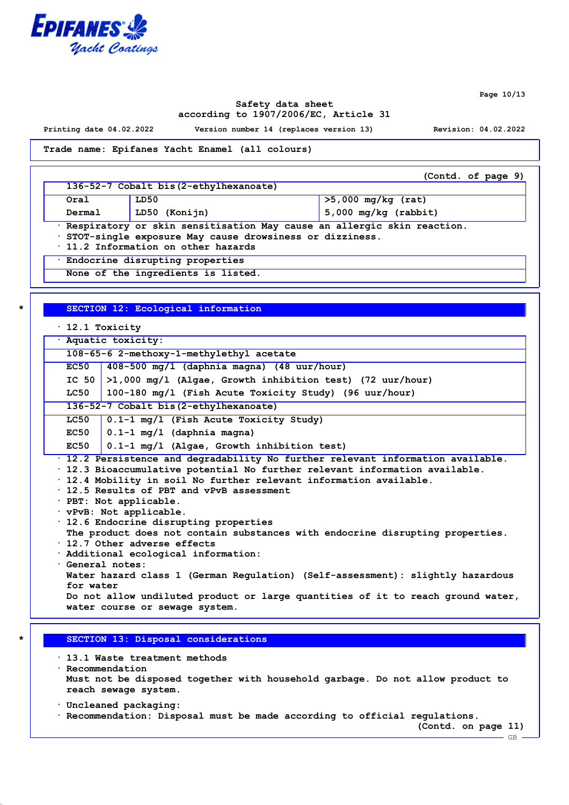

**Page 10/13**

### **Safety data sheet according to 1907/2006/EC, Article 31**

**Printing date 04.02.2022 Version number 14 (replaces version 13) Revision: 04.02.2022**

**Trade name: Epifanes Yacht Enamel (all colours)**

|                                                                                                                                                                                    |                                        | (Contd. of page 9)     |  |  |
|------------------------------------------------------------------------------------------------------------------------------------------------------------------------------------|----------------------------------------|------------------------|--|--|
|                                                                                                                                                                                    | 136-52-7 Cobalt bis (2-ethylhexanoate) |                        |  |  |
| Oral                                                                                                                                                                               | LD50                                   | $>5,000$ mg/kg (rat)   |  |  |
| Dermal                                                                                                                                                                             | LD50 (Konijn)                          | $5,000$ mg/kg (rabbit) |  |  |
| · Respiratory or skin sensitisation May cause an allergic skin reaction.<br>· STOT-single exposure May cause drowsiness or dizziness.<br>$\cdot$ 11.2 Information on other hazards |                                        |                        |  |  |
| · Endocrine disrupting properties                                                                                                                                                  |                                        |                        |  |  |
|                                                                                                                                                                                    | None of the ingredients is listed.     |                        |  |  |

### **\* SECTION 12: Ecological information**

|  |  |  | 12.1 Toxicity |
|--|--|--|---------------|
|--|--|--|---------------|

| · Aquatic toxicity:                                                            |                                                                                 |  |  |
|--------------------------------------------------------------------------------|---------------------------------------------------------------------------------|--|--|
| 108-65-6 2-methoxy-1-methylethyl acetate                                       |                                                                                 |  |  |
| <b>EC50</b>                                                                    | 408-500 mg/l (daphnia magna) (48 uur/hour)                                      |  |  |
| IC 50                                                                          | $>1,000$ mg/l (Algae, Growth inhibition test) (72 uur/hour)                     |  |  |
| LC50                                                                           | 100-180 mg/l (Fish Acute Toxicity Study) (96 uur/hour)                          |  |  |
|                                                                                | 136-52-7 Cobalt bis (2-ethylhexanoate)                                          |  |  |
| LC50                                                                           | 0.1-1 mg/l (Fish Acute Toxicity Study)                                          |  |  |
| EC50                                                                           | $0.1-1$ mg/l (daphnia magna)                                                    |  |  |
| EC50                                                                           | $0.1-1$ mg/l (Algae, Growth inhibition test)                                    |  |  |
|                                                                                | · 12.2 Persistence and degradability No further relevant information available. |  |  |
|                                                                                | · 12.3 Bioaccumulative potential No further relevant information available.     |  |  |
|                                                                                | · 12.4 Mobility in soil No further relevant information available.              |  |  |
| $\cdot$ 12.5 Results of PBT and vPvB assessment                                |                                                                                 |  |  |
| · PBT: Not applicable.                                                         |                                                                                 |  |  |
| vPvB: Not applicable.                                                          |                                                                                 |  |  |
| $\cdot$ 12.6 Endocrine disrupting properties                                   |                                                                                 |  |  |
| The product does not contain substances with endocrine disrupting properties.  |                                                                                 |  |  |
| $\cdot$ 12.7 Other adverse effects                                             |                                                                                 |  |  |
| · Additional ecological information:                                           |                                                                                 |  |  |
| · General notes:                                                               |                                                                                 |  |  |
| Water hazard class 1 (German Regulation) (Self-assessment): slightly hazardous |                                                                                 |  |  |
| for water                                                                      |                                                                                 |  |  |
|                                                                                | Do not allow undiluted product or large quantities of it to reach ground water, |  |  |
| water course or sewage system.                                                 |                                                                                 |  |  |
|                                                                                |                                                                                 |  |  |
|                                                                                |                                                                                 |  |  |

### **\* SECTION 13: Disposal considerations**

**· 13.1 Waste treatment methods · Recommendation Must not be disposed together with household garbage. Do not allow product to reach sewage system.**

- **· Uncleaned packaging:**
- **· Recommendation: Disposal must be made according to official regulations.**

**(Contd. on page 11)**

GB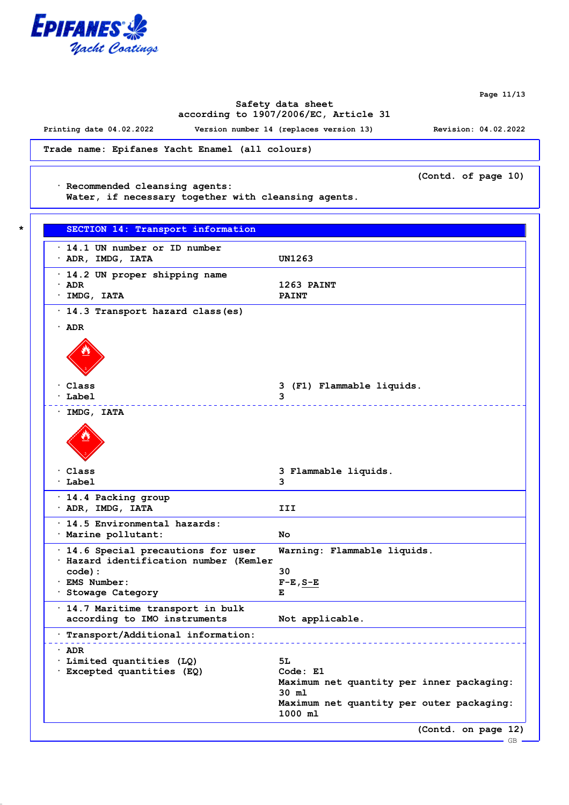

**Page 11/13**

## **Safety data sheet according to 1907/2006/EC, Article 31**

**Printing date 04.02.2022 Version number 14 (replaces version 13) Revision: 04.02.2022**

**Trade name: Epifanes Yacht Enamel (all colours)**

**(Contd. of page 10)**

**· Recommended cleansing agents:**

**Water, if necessary together with cleansing agents.**

| $\cdot$ 14.1 UN number or ID number                                           |                                                      |
|-------------------------------------------------------------------------------|------------------------------------------------------|
| $\cdot$ ADR, IMDG, IATA                                                       | UN1263                                               |
| · 14.2 UN proper shipping name                                                |                                                      |
| · ADR                                                                         | 1263 PAINT                                           |
| · IMDG, IATA                                                                  | <b>PAINT</b>                                         |
| · 14.3 Transport hazard class (es)                                            |                                                      |
| $\cdot$ ADR                                                                   |                                                      |
|                                                                               |                                                      |
| · Class                                                                       | 3 (F1) Flammable liquids.                            |
| Label                                                                         | 3                                                    |
| $·$ IMDG, IATA                                                                |                                                      |
|                                                                               |                                                      |
| · Class                                                                       | 3 Flammable liquids.                                 |
| · Label                                                                       | 3                                                    |
| · 14.4 Packing group                                                          |                                                      |
| $\cdot$ ADR, IMDG, IATA                                                       | III                                                  |
| . 14.5 Environmental hazards:                                                 |                                                      |
| · Marine pollutant:                                                           | No.                                                  |
| · 14.6 Special precautions for user<br>· Hazard identification number (Kemler | Warning: Flammable liquids.                          |
| code) :                                                                       | 30                                                   |
| · EMS Number:                                                                 | $F-E$ , $S-E$                                        |
| · Stowage Category                                                            | Е                                                    |
| · 14.7 Maritime transport in bulk                                             |                                                      |
| according to IMO instruments                                                  | Not applicable.                                      |
| Transport/Additional information:                                             |                                                      |
| · ADR                                                                         |                                                      |
| Limited quantities (LQ)                                                       | 5L                                                   |
| · Excepted quantities (EQ)                                                    | Code: E1                                             |
|                                                                               | Maximum net quantity per inner packaging:<br>30 ml   |
|                                                                               | Maximum net quantity per outer packaging:<br>1000 ml |
|                                                                               | (Contd. on page 12)                                  |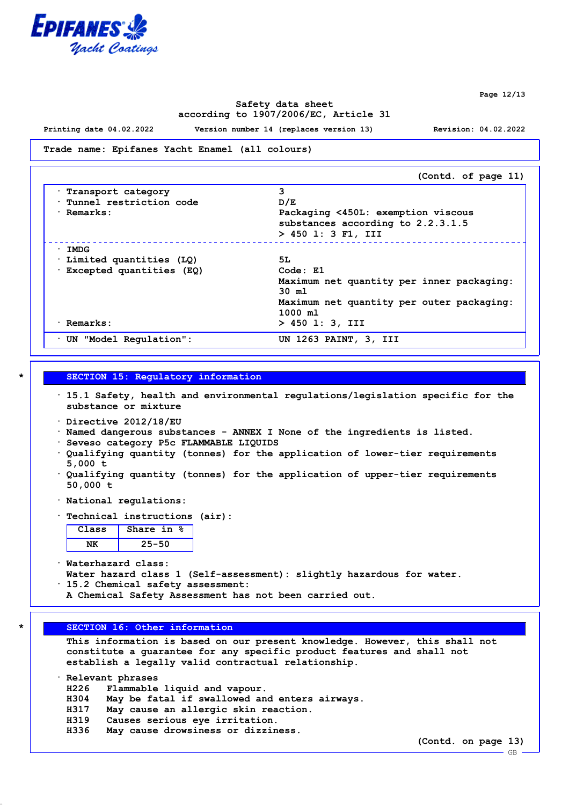

**Page 12/13**

### **Safety data sheet according to 1907/2006/EC, Article 31**

**Printing date 04.02.2022 Version number 14 (replaces version 13) Revision: 04.02.2022**

#### **Trade name: Epifanes Yacht Enamel (all colours)**

|                            | (Contd. of page 11)                       |
|----------------------------|-------------------------------------------|
| · Transport category       | 3                                         |
| Tunnel restriction code    | D/E                                       |
| $\cdot$ Remarks:           | Packaging <450L: exemption viscous        |
|                            | substances according to 2.2.3.1.5         |
|                            | $> 450$ 1: 3 F1, III                      |
| $\cdot$ IMDG               |                                           |
| Limited quantities (LQ)    | 5L.                                       |
| · Excepted quantities (EQ) | Code: E1                                  |
|                            | Maximum net quantity per inner packaging: |
|                            | $30 \text{ m1}$                           |
|                            | Maximum net quantity per outer packaging: |
|                            | 1000 m1                                   |
| · Remarks:                 | $> 450$ 1: 3, III                         |
| UN "Model Regulation":     | UN 1263 PAINT, 3, III                     |

### **\* SECTION 15: Regulatory information**

- **· 15.1 Safety, health and environmental regulations/legislation specific for the substance or mixture**
- **· Directive 2012/18/EU**
- **· Named dangerous substances ANNEX I None of the ingredients is listed.**
- **· Seveso category P5c FLAMMABLE LIQUIDS**
- **· Qualifying quantity (tonnes) for the application of lower-tier requirements 5,000 t**
- **· Qualifying quantity (tonnes) for the application of upper-tier requirements 50,000 t**
- **· National regulations:**
- **· Technical instructions (air):**

**Class Share in % NK 25-50**

**· Waterhazard class: Water hazard class 1 (Self-assessment): slightly hazardous for water. · 15.2 Chemical safety assessment:**

**A Chemical Safety Assessment has not been carried out.**

#### **\* SECTION 16: Other information**

**This information is based on our present knowledge. However, this shall not constitute a guarantee for any specific product features and shall not establish a legally valid contractual relationship.**

**· Relevant phrases**

- **H226 Flammable liquid and vapour.**
- **H304 May be fatal if swallowed and enters airways.**
- **H317 May cause an allergic skin reaction.**
- **H319 Causes serious eye irritation.**
- **H336 May cause drowsiness or dizziness.**

**(Contd. on page 13)**

GB